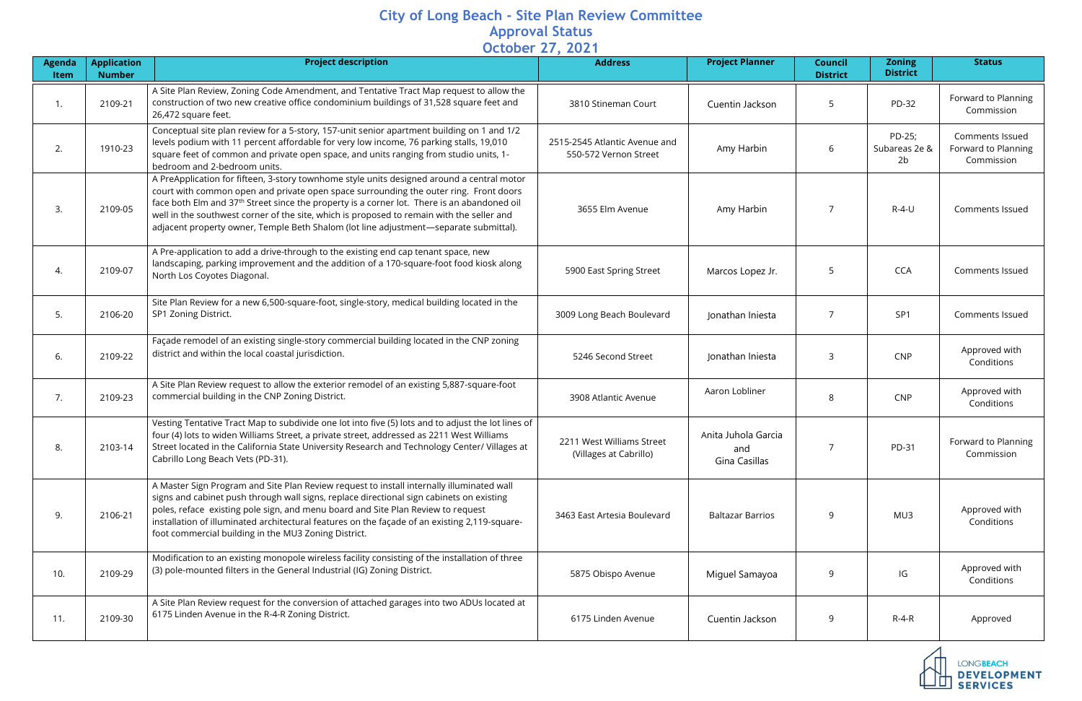## **City of Long Beach - Site Plan Review Committee Approval Status October 27, 2021**

| Agenda<br>Item | <b>Application</b><br><b>Number</b> | <b>Project description</b>                                                                                                                                                                                                                                                                                                                                                                                                                                                           | $-0.0000$ . $-1, 0.000$<br><b>Address</b>              | <b>Project Planner</b>                      | <b>Council</b><br><b>District</b> | <b>Zoning</b><br><b>District</b> | <b>Status</b>                                               |
|----------------|-------------------------------------|--------------------------------------------------------------------------------------------------------------------------------------------------------------------------------------------------------------------------------------------------------------------------------------------------------------------------------------------------------------------------------------------------------------------------------------------------------------------------------------|--------------------------------------------------------|---------------------------------------------|-----------------------------------|----------------------------------|-------------------------------------------------------------|
| 1.             | 2109-21                             | A Site Plan Review, Zoning Code Amendment, and Tentative Tract Map request to allow the<br>construction of two new creative office condominium buildings of 31,528 square feet and<br>26,472 square feet.                                                                                                                                                                                                                                                                            | 3810 Stineman Court                                    | Cuentin Jackson                             |                                   | PD-32                            | Forward to Planning<br>Commission                           |
| 2.             | 1910-23                             | Conceptual site plan review for a 5-story, 157-unit senior apartment building on 1 and 1/2<br>levels podium with 11 percent affordable for very low income, 76 parking stalls, 19,010<br>square feet of common and private open space, and units ranging from studio units, 1-<br>bedroom and 2-bedroom units.                                                                                                                                                                       | 2515-2545 Atlantic Avenue and<br>550-572 Vernon Street | Amy Harbin                                  | 6                                 | PD-25;<br>Subareas 2e &<br>2b    | <b>Comments Issued</b><br>Forward to Planning<br>Commission |
| 3.             | 2109-05                             | A PreApplication for fifteen, 3-story townhome style units designed around a central motor<br>court with common open and private open space surrounding the outer ring. Front doors<br>face both Elm and 37 <sup>th</sup> Street since the property is a corner lot. There is an abandoned oil<br>well in the southwest corner of the site, which is proposed to remain with the seller and<br>adjacent property owner, Temple Beth Shalom (lot line adjustment—separate submittal). | 3655 Elm Avenue                                        | Amy Harbin                                  |                                   | $R-4-U$                          | <b>Comments Issued</b>                                      |
| 4.             | 2109-07                             | A Pre-application to add a drive-through to the existing end cap tenant space, new<br>landscaping, parking improvement and the addition of a 170-square-foot food kiosk along<br>North Los Coyotes Diagonal.                                                                                                                                                                                                                                                                         | 5900 East Spring Street                                | Marcos Lopez Jr.                            | 5                                 | <b>CCA</b>                       | <b>Comments Issued</b>                                      |
| 5.             | 2106-20                             | Site Plan Review for a new 6,500-square-foot, single-story, medical building located in the<br>SP1 Zoning District.                                                                                                                                                                                                                                                                                                                                                                  | 3009 Long Beach Boulevard                              | Jonathan Iniesta                            | 7                                 | SP <sub>1</sub>                  | <b>Comments Issued</b>                                      |
| 6.             | 2109-22                             | Façade remodel of an existing single-story commercial building located in the CNP zoning<br>district and within the local coastal jurisdiction.                                                                                                                                                                                                                                                                                                                                      | 5246 Second Street                                     | Jonathan Iniesta                            | 3                                 | <b>CNP</b>                       | Approved with<br>Conditions                                 |
| 7.             | 2109-23                             | A Site Plan Review request to allow the exterior remodel of an existing 5,887-square-foot<br>commercial building in the CNP Zoning District.                                                                                                                                                                                                                                                                                                                                         | 3908 Atlantic Avenue                                   | Aaron Lobliner                              | 8                                 | <b>CNP</b>                       | Approved with<br>Conditions                                 |
|                | 2103-14                             | Vesting Tentative Tract Map to subdivide one lot into five (5) lots and to adjust the lot lines of<br>four (4) lots to widen Williams Street, a private street, addressed as 2211 West Williams<br>Street located in the California State University Research and Technology Center/ Villages at<br>Cabrillo Long Beach Vets (PD-31).                                                                                                                                                | 2211 West Williams Street<br>(Villages at Cabrillo)    | Anita Juhola Garcia<br>and<br>Gina Casillas |                                   | PD-31                            | Forward to Planning<br>Commission                           |
| 9.             | 2106-21                             | A Master Sign Program and Site Plan Review request to install internally illuminated wall<br>signs and cabinet push through wall signs, replace directional sign cabinets on existing<br>poles, reface existing pole sign, and menu board and Site Plan Review to request<br>installation of illuminated architectural features on the façade of an existing 2,119-square-<br>foot commercial building in the MU3 Zoning District.                                                   | 3463 East Artesia Boulevard                            | <b>Baltazar Barrios</b>                     | 9                                 | MU3                              | Approved with<br>Conditions                                 |
| 10.            | 2109-29                             | Modification to an existing monopole wireless facility consisting of the installation of three<br>(3) pole-mounted filters in the General Industrial (IG) Zoning District.                                                                                                                                                                                                                                                                                                           | 5875 Obispo Avenue                                     | Miguel Samayoa                              | 9                                 | IG                               | Approved with<br>Conditions                                 |
| 11.            | 2109-30                             | A Site Plan Review request for the conversion of attached garages into two ADUs located at<br>6175 Linden Avenue in the R-4-R Zoning District.                                                                                                                                                                                                                                                                                                                                       | 6175 Linden Avenue                                     | Cuentin Jackson                             | 9                                 | $R-4-R$                          | Approved                                                    |
|                |                                     |                                                                                                                                                                                                                                                                                                                                                                                                                                                                                      |                                                        |                                             |                                   |                                  | <b>LONGBEACH</b><br><b>DEVELOPMENT</b><br><b>SERVICES</b>   |